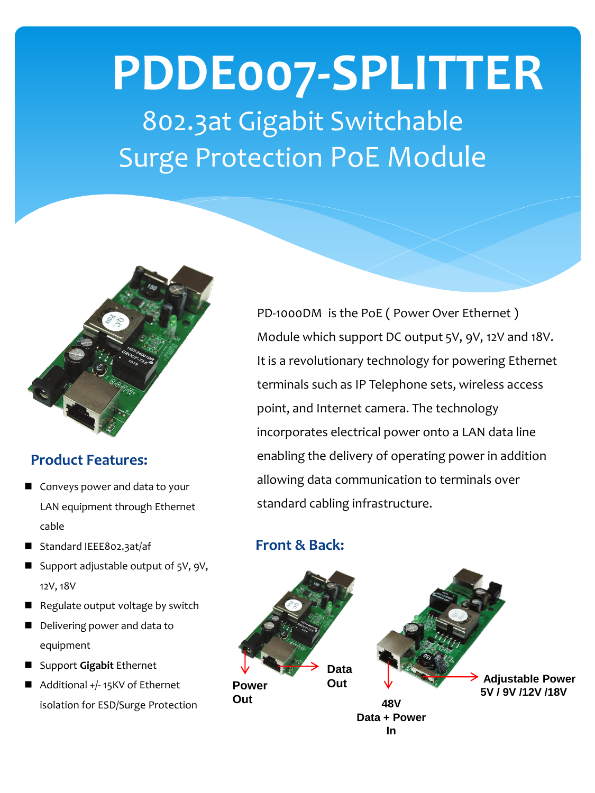# **PDDE007-SPLITTER** 802.3at Gigabit Switchable Surge Protection PoE Module



#### **Product Features:**

- Conveys power and data to your LAN equipment through Ethernet cable
- Standard IEEE802.3at/af
- Support adjustable output of 5V, 9V, 12V, 18V
- Regulate output voltage by switch
- Delivering power and data to equipment
- Support **Gigabit** Ethernet
- Additional +/-15KV of Ethernet isolation for ESD/Surge Protection

PD-1000DM is the PoE ( Power Over Ethernet ) Module which support DC output 5V, 9V, 12V and 18V. It is a revolutionary technology for powering Ethernet terminals such as IP Telephone sets, wireless access point, and Internet camera. The technology incorporates electrical power onto a LAN data line enabling the delivery of operating power in addition allowing data communication to terminals over standard cabling infrastructure.

### **Front & Back:**

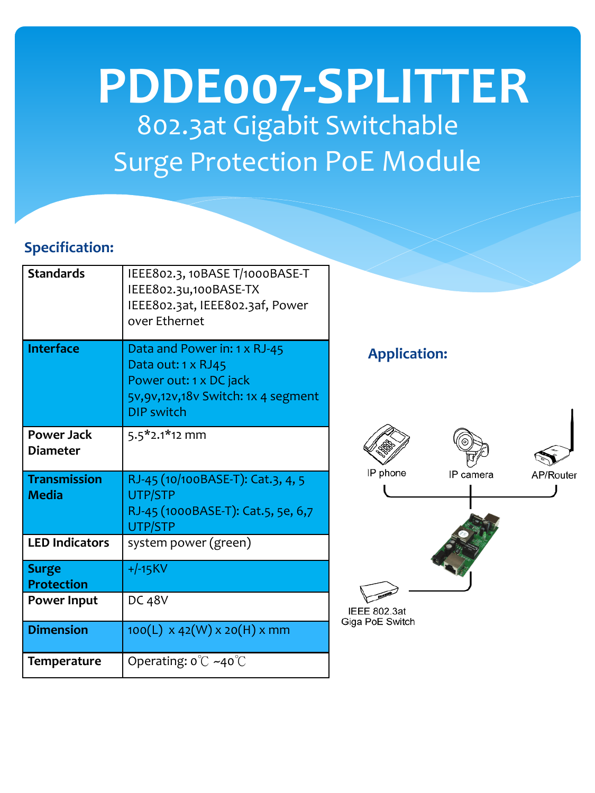## 802.3at Gigabit Switchable Surge Protection PoE Module **PDDE007-SPLITTER**

### **Specification:**

| <b>Standards</b>                     | IEEE802.3, 10BASE T/1000BASE-T<br>IEEE802.3u,100BASE-TX<br>IEEE802.3at, IEEE802.3af, Power<br>over Ethernet                                |
|--------------------------------------|--------------------------------------------------------------------------------------------------------------------------------------------|
| <b>Interface</b>                     | Data and Power in: 1 x RJ-45<br>Data out: 1 x RJ45<br>Power out: 1 x DC jack<br>5v, 9v, 12v, 18v Switch: 1x 4 segment<br><b>DIP switch</b> |
| <b>Power Jack</b><br><b>Diameter</b> | $5.5*2.1*12$ mm                                                                                                                            |
|                                      |                                                                                                                                            |
| <b>Transmission</b><br><b>Media</b>  | RJ-45 (10/100BASE-T): Cat.3, 4, 5<br><b>UTP/STP</b><br>RJ-45 (1000BASE-T): Cat.5, 5e, 6,7<br>UTP/STP                                       |
| <b>LED Indicators</b>                | system power (green)                                                                                                                       |
| <b>Surge</b><br><b>Protection</b>    | $+/-15$ KV                                                                                                                                 |
| <b>Power Input</b>                   | DC 48V                                                                                                                                     |
| <b>Dimension</b>                     | 100(L) x 42(W) x 20(H) x mm                                                                                                                |

**Application:**